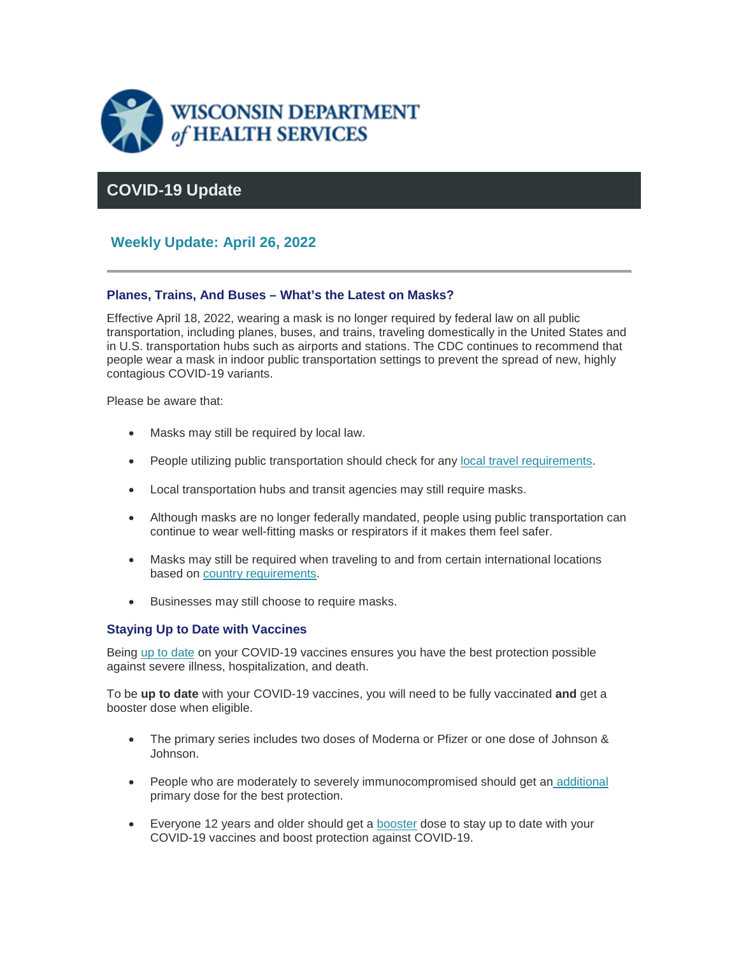

#### **COVID-19 Update**

#### **Weekly Update: April 26, 2022**

#### **Planes, Trains, And Buses – What's the Latest on Masks?**

Effective April 18, 2022, wearing a mask is no longer required by federal law on all public transportation, including planes, buses, and trains, traveling domestically in the United States and in U.S. transportation hubs such as airports and stations. The CDC continues to recommend that people wear a mask in indoor public transportation settings to prevent the spread of new, highly contagious COVID-19 variants.

Please be aware that:

- Masks may still be required by local law.
- People utilizing public transportation should check for any [local travel requirements.](https://lnks.gd/l/eyJhbGciOiJIUzI1NiJ9.eyJidWxsZXRpbl9saW5rX2lkIjoxMDAsInVyaSI6ImJwMjpjbGljayIsImJ1bGxldGluX2lkIjoiMjAyMjA0MjYuNTY5OTU3MzEiLCJ1cmwiOiJodHRwczovL3d3dy5jZGMuZ292L3B1YmxpY2hlYWx0aGdhdGV3YXkvaGVhbHRoZGlyZWN0b3JpZXMvaW5kZXguaHRtbD9DRENfQUFfcmVmVmFsPWh0dHBzJTNBJTJGJTJGd3d3LmNkYy5nb3YlMkZjb3JvbmF2aXJ1cyUyRjIwMTktbmNvdiUyRnRyYXZlbGVycyUyRnRyYXZlbC1wbGFubmVyJTJGaW5kZXguaHRtbCJ9.kBjLuHxf4sBF3PIwkpyUgz9hz0YXPiPt9VSEX3TpIpw/s/1421858714/br/130361401036-l)
- Local transportation hubs and transit agencies may still require masks.
- Although masks are no longer federally mandated, people using public transportation can continue to wear well-fitting masks or respirators if it makes them feel safer.
- Masks may still be required when traveling to and from certain international locations based on [country requirements.](https://lnks.gd/l/eyJhbGciOiJIUzI1NiJ9.eyJidWxsZXRpbl9saW5rX2lkIjoxMDEsInVyaSI6ImJwMjpjbGljayIsImJ1bGxldGluX2lkIjoiMjAyMjA0MjYuNTY5OTU3MzEiLCJ1cmwiOiJodHRwczovL3d3dy5jZGMuZ292L2Nvcm9uYXZpcnVzLzIwMTktbmNvdi90cmF2ZWxlcnMvaW50ZXJuYXRpb25hbC10cmF2ZWwvaW5kZXguaHRtbCJ9.VuOfhNUH7HxAQrJuaOZ74cwrAocGtj8RqvVnAmUXn38/s/1421858714/br/130361401036-l)
- Businesses may still choose to require masks.

#### **Staying Up to Date with Vaccines**

Being [up to date](https://lnks.gd/l/eyJhbGciOiJIUzI1NiJ9.eyJidWxsZXRpbl9saW5rX2lkIjoxMDIsInVyaSI6ImJwMjpjbGljayIsImJ1bGxldGluX2lkIjoiMjAyMjA0MjYuNTY5OTU3MzEiLCJ1cmwiOiJodHRwczovL3d3dy5kaHMud2lzY29uc2luLmdvdi9jb3ZpZC0xOS92YWNjaW5lLWFmdGVyLmh0bSJ9.dip4qU8n0H7qu6qjIe4UHZ1J1Sx3LhqlscYLupVNHH8/s/1421858714/br/130361401036-l) on your COVID-19 vaccines ensures you have the best protection possible against severe illness, hospitalization, and death.

To be **up to date** with your COVID-19 vaccines, you will need to be fully vaccinated **and** get a booster dose when eligible.

- The primary series includes two doses of Moderna or Pfizer or one dose of Johnson & Johnson.
- People who are moderately to severely immunocompromised should get an [additional](https://lnks.gd/l/eyJhbGciOiJIUzI1NiJ9.eyJidWxsZXRpbl9saW5rX2lkIjoxMDMsInVyaSI6ImJwMjpjbGljayIsImJ1bGxldGluX2lkIjoiMjAyMjA0MjYuNTY5OTU3MzEiLCJ1cmwiOiJodHRwczovL3d3dy5kaHMud2lzY29uc2luLmdvdi9jb3ZpZC0xOS92YWNjaW5lLWRvc2UuaHRtIn0.QS6ma6T3CxTaaIBGhEsInmS1ZwOLxUuua83CAWLjZ7A/s/1421858714/br/130361401036-l) primary dose for the best protection.
- Everyone 12 years and older should get a [booster](https://lnks.gd/l/eyJhbGciOiJIUzI1NiJ9.eyJidWxsZXRpbl9saW5rX2lkIjoxMDQsInVyaSI6ImJwMjpjbGljayIsImJ1bGxldGluX2lkIjoiMjAyMjA0MjYuNTY5OTU3MzEiLCJ1cmwiOiJodHRwczovL3d3dy5kaHMud2lzY29uc2luLmdvdi9jb3ZpZC0xOS92YWNjaW5lLWRvc2UuaHRtIn0.5rJ7XtZG0NlyqoBhL9xjii_8sdT7Sn3frd-yBOd6a-0/s/1421858714/br/130361401036-l) dose to stay up to date with your COVID-19 vaccines and boost protection against COVID-19.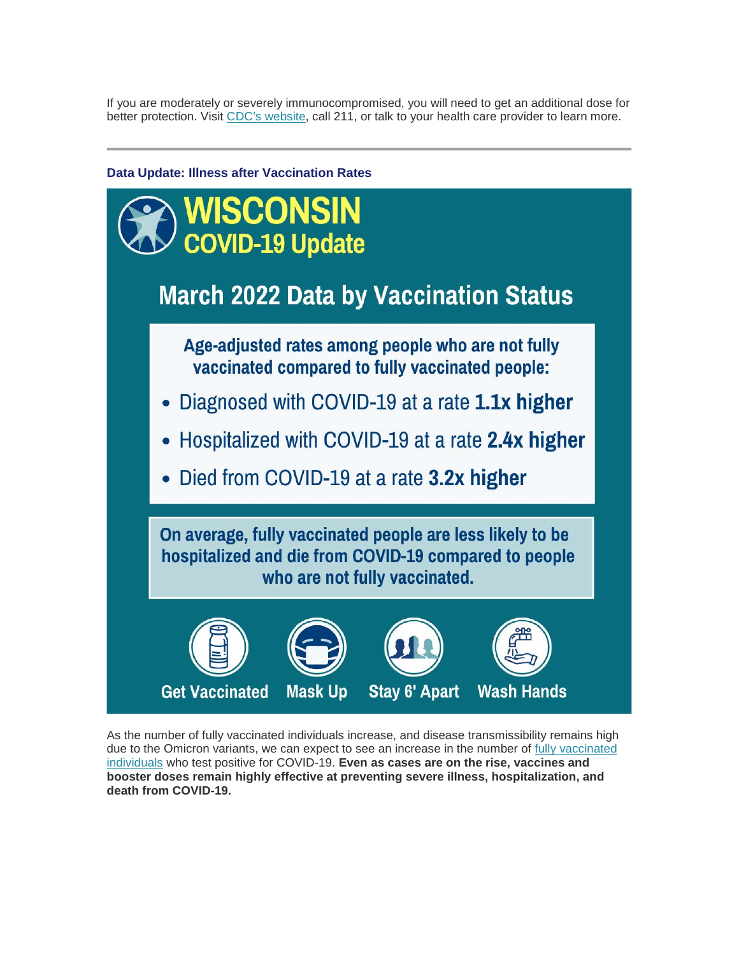If you are moderately or severely immunocompromised, you will need to get an additional dose for better protection. Visit [CDC's website,](https://lnks.gd/l/eyJhbGciOiJIUzI1NiJ9.eyJidWxsZXRpbl9saW5rX2lkIjoxMDUsInVyaSI6ImJwMjpjbGljayIsImJ1bGxldGluX2lkIjoiMjAyMjA0MjYuNTY5OTU3MzEiLCJ1cmwiOiJodHRwczovL2JpdC5seS8zeUxtT2M1In0.z8uzBML8oVtXtjvY_gOCEhTKHgBrK5B9QABg4r4kEy8/s/1421858714/br/130361401036-l) call 211, or talk to your health care provider to learn more.



As the number of fully vaccinated individuals increase, and disease transmissibility remains high due to the Omicron variants, we can expect to see an increase in the number of fully vaccinated [individuals](https://lnks.gd/l/eyJhbGciOiJIUzI1NiJ9.eyJidWxsZXRpbl9saW5rX2lkIjoxMDYsInVyaSI6ImJwMjpjbGljayIsImJ1bGxldGluX2lkIjoiMjAyMjA0MjYuNTY5OTU3MzEiLCJ1cmwiOiJodHRwczovL3d3dy5kaHMud2lzY29uc2luLmdvdi9jb3ZpZC0xOS92YWNjaW5lLXN0YXR1cy5odG0ifQ.YcbevrKgr22b-nUKLVneNAWLQObTQC8YBGEnG1Rp4Qw/s/1421858714/br/130361401036-l) who test positive for COVID-19. **Even as cases are on the rise, vaccines and booster doses remain highly effective at preventing severe illness, hospitalization, and death from COVID-19.**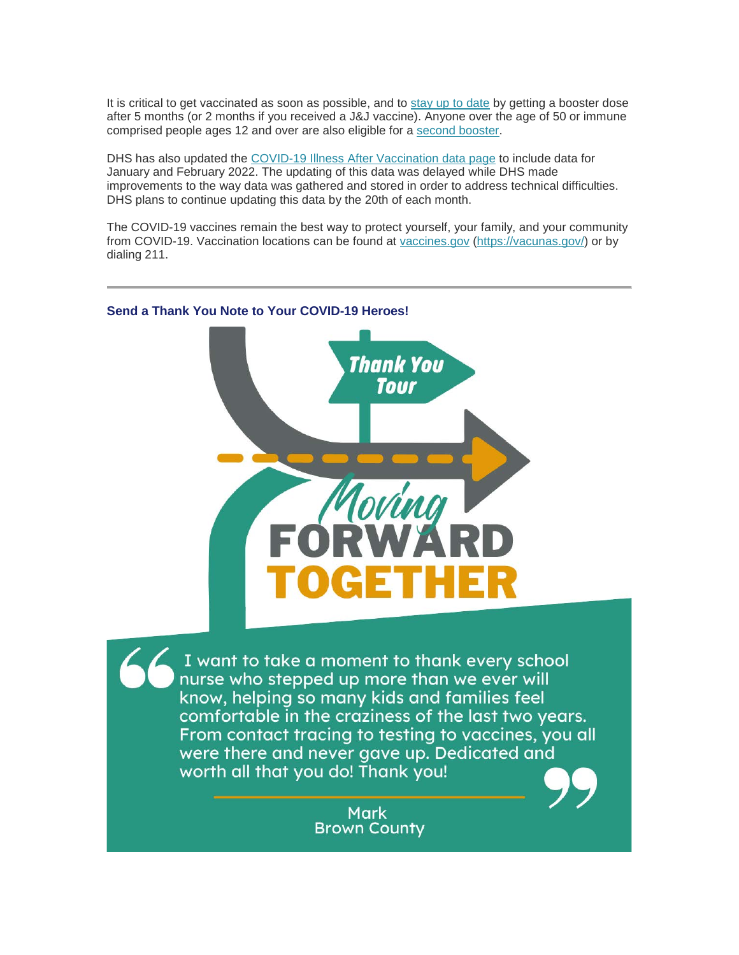It is critical to get vaccinated as soon as possible, and to [stay up to date](https://lnks.gd/l/eyJhbGciOiJIUzI1NiJ9.eyJidWxsZXRpbl9saW5rX2lkIjoxMDcsInVyaSI6ImJwMjpjbGljayIsImJ1bGxldGluX2lkIjoiMjAyMjA0MjYuNTY5OTU3MzEiLCJ1cmwiOiJodHRwczovL3d3dy5jZGMuZ292L2Nvcm9uYXZpcnVzLzIwMTktbmNvdi92YWNjaW5lcy9zdGF5LXVwLXRvLWRhdGUuaHRtbD9DRENfQUFfcmVmVmFsPWh0dHBzJTNBJTJGJTJGd3d3LmNkYy5nb3YlMkZjb3JvbmF2aXJ1cyUyRjIwMTktbmNvdiUyRnZhY2NpbmVzJTJGZnVsbHktdmFjY2luYXRlZC5odG1sIn0.mv50OlRi9_cg0LYPQQaVmLSXDdjPUikTzA3cg-CoyVc/s/1421858714/br/130361401036-l) by getting a booster dose after 5 months (or 2 months if you received a J&J vaccine). Anyone over the age of 50 or immune comprised people ages 12 and over are also eligible for a [second booster.](https://lnks.gd/l/eyJhbGciOiJIUzI1NiJ9.eyJidWxsZXRpbl9saW5rX2lkIjoxMDgsInVyaSI6ImJwMjpjbGljayIsImJ1bGxldGluX2lkIjoiMjAyMjA0MjYuNTY5OTU3MzEiLCJ1cmwiOiJodHRwczovL3d3dy5jZGMuZ292L3ZhY2NpbmVzL2NvdmlkLTE5L2Rvd25sb2Fkcy9DT1ZJRC0xOS1pbW11bml6YXRpb24tc2NoZWR1bGUtYWdlcy01eXJzLW9sZGVyLnBkZiJ9.9MyRa11PHgusiSJnbDAbxt-0pGQdr8AkcihDGsbIzG8/s/1421858714/br/130361401036-l)

DHS has also updated the [COVID-19 Illness After Vaccination data page](https://lnks.gd/l/eyJhbGciOiJIUzI1NiJ9.eyJidWxsZXRpbl9saW5rX2lkIjoxMDksInVyaSI6ImJwMjpjbGljayIsImJ1bGxldGluX2lkIjoiMjAyMjA0MjYuNTY5OTU3MzEiLCJ1cmwiOiJodHRwczovL3d3dy5kaHMud2lzY29uc2luLmdvdi9jb3ZpZC0xOS92YWNjaW5lLXN0YXR1cy5odG0ifQ.e5tgZRcbl0_QrNuB6mtZEZ-kpLeamjKRN5ogqaCUMP4/s/1421858714/br/130361401036-l) to include data for January and February 2022. The updating of this data was delayed while DHS made improvements to the way data was gathered and stored in order to address technical difficulties. DHS plans to continue updating this data by the 20th of each month.

The COVID-19 vaccines remain the best way to protect yourself, your family, and your community from COVID-19. Vaccination locations can be found at [vaccines.gov](https://lnks.gd/l/eyJhbGciOiJIUzI1NiJ9.eyJidWxsZXRpbl9saW5rX2lkIjoxMTAsInVyaSI6ImJwMjpjbGljayIsImJ1bGxldGluX2lkIjoiMjAyMjA0MjYuNTY5OTU3MzEiLCJ1cmwiOiJodHRwczovL3d3dy52YWNjaW5lcy5nb3YvIn0.F1QXknBi_lizui6Thfi0f5H0uW8dObvMTsA9uULP1lg/s/1421858714/br/130361401036-l) [\(https://vacunas.gov/\)](https://lnks.gd/l/eyJhbGciOiJIUzI1NiJ9.eyJidWxsZXRpbl9saW5rX2lkIjoxMTEsInVyaSI6ImJwMjpjbGljayIsImJ1bGxldGluX2lkIjoiMjAyMjA0MjYuNTY5OTU3MzEiLCJ1cmwiOiJodHRwczovL3ZhY3VuYXMuZ292LyJ9.KtuonqheLJ9zQJYtRCr5HQNci2JEzhJJCyY_heoGWTM/s/1421858714/br/130361401036-l) or by dialing 211.



#### **Send a Thank You Note to Your COVID-19 Heroes!**

I want to take a moment to thank every school nurse who stepped up more than we ever will know, helping so many kids and families feel comfortable in the craziness of the last two years. From contact tracing to testing to vaccines, you all were there and never gave up. Dedicated and worth all that you do! Thank you!

> **Mark Brown County**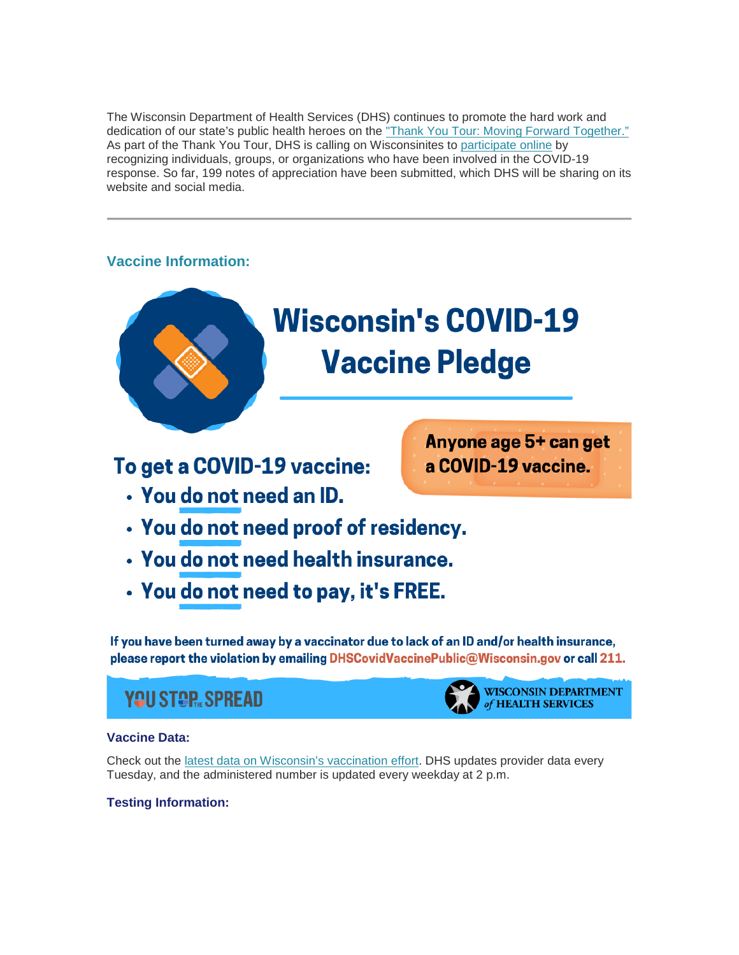The Wisconsin Department of Health Services (DHS) continues to promote the hard work and dedication of our state's public health heroes on the ["Thank You Tour: Moving Forward Together."](https://lnks.gd/l/eyJhbGciOiJIUzI1NiJ9.eyJidWxsZXRpbl9saW5rX2lkIjoxMTIsInVyaSI6ImJwMjpjbGljayIsImJ1bGxldGluX2lkIjoiMjAyMjA0MjYuNTY5OTU3MzEiLCJ1cmwiOiJodHRwczovL3d3dy5kaHMud2lzY29uc2luLmdvdi9uZXdzL3JlbGVhc2VzLzA0MDYyMi5odG0ifQ.aop1QS2eNL45z3MIC_8tGgJVNdkPtW0yy4Y3_aQoSWc/s/1421858714/br/130361401036-l) As part of the Thank You Tour, DHS is calling on Wisconsinites to [participate online](https://lnks.gd/l/eyJhbGciOiJIUzI1NiJ9.eyJidWxsZXRpbl9saW5rX2lkIjoxMTMsInVyaSI6ImJwMjpjbGljayIsImJ1bGxldGluX2lkIjoiMjAyMjA0MjYuNTY5OTU3MzEiLCJ1cmwiOiJodHRwczovL3d3dy5kaHMud2lzY29uc2luLmdvdi9jb3ZpZC0xOS90aGFuay15b3UuaHRtIn0.UsfgAoXoYJloJWfAcTzspQgE0cvMvLNIKZa_wwXzB_8/s/1421858714/br/130361401036-l) by recognizing individuals, groups, or organizations who have been involved in the COVID-19 response. So far, 199 notes of appreciation have been submitted, which DHS will be sharing on its website and social media.

#### **Vaccine Information:**



## **Wisconsin's COVID-19 Vaccine Pledge**

To get a COVID-19 vaccine:

• You do not need an ID.

Anyone age 5+ can get a COVID-19 vaccine.

- You do not need proof of residency.
- You do not need health insurance.
- You do not need to pay, it's FREE.

If you have been turned away by a vaccinator due to lack of an ID and/or health insurance, please report the violation by emailing DHSCovidVaccinePublic@Wisconsin.gov or call 211.

### **YQU STOR, SPREAD**



**WISCONSIN DEPARTMENT** of HEALTH SERVICES

#### **Vaccine Data:**

Check out the [latest data on Wisconsin's vaccination effort.](https://lnks.gd/l/eyJhbGciOiJIUzI1NiJ9.eyJidWxsZXRpbl9saW5rX2lkIjoxMTQsInVyaSI6ImJwMjpjbGljayIsImJ1bGxldGluX2lkIjoiMjAyMjA0MjYuNTY5OTU3MzEiLCJ1cmwiOiJodHRwczovL3d3dy5kaHMud2lzY29uc2luLmdvdi9jb3ZpZC0xOS92YWNjaW5lLWRhdGEuaHRtIn0.BT1yZyVnvAdyheH1ASRA-tdZ8muAFyB6AUoT_gk2He8/s/1421858714/br/130361401036-l) DHS updates provider data every Tuesday, and the administered number is updated every weekday at 2 p.m.

#### **Testing Information:**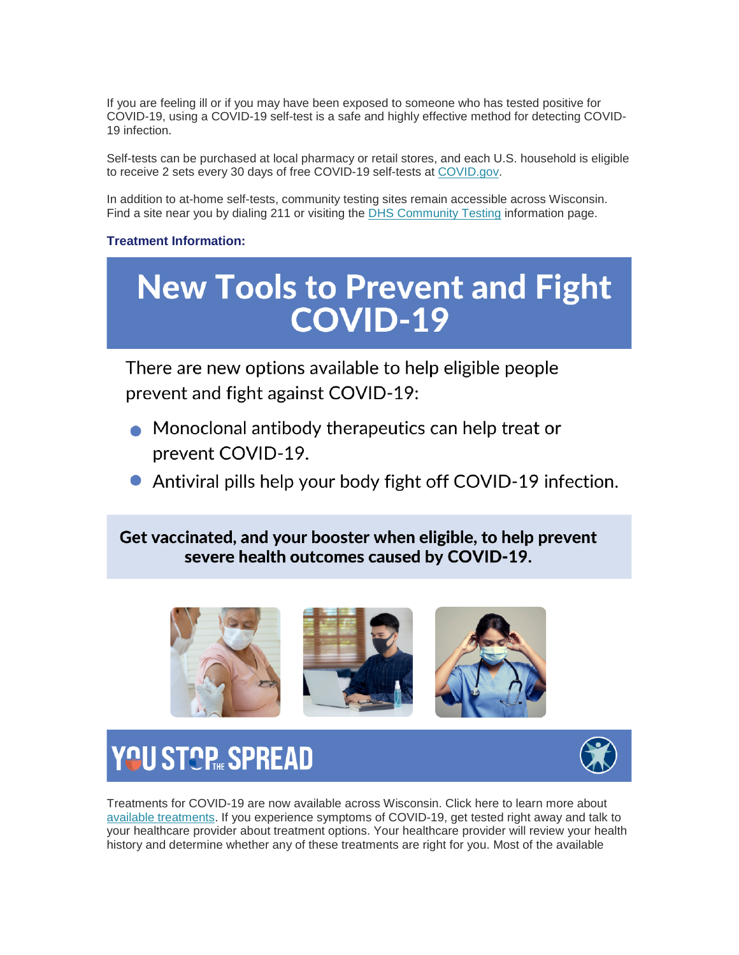If you are feeling ill or if you may have been exposed to someone who has tested positive for COVID-19, using a COVID-19 self-test is a safe and highly effective method for detecting COVID-19 infection.

Self-tests can be purchased at local pharmacy or retail stores, and each U.S. household is eligible to receive 2 sets every 30 days of free COVID-19 self-tests at [COVID.gov.](https://lnks.gd/l/eyJhbGciOiJIUzI1NiJ9.eyJidWxsZXRpbl9saW5rX2lkIjoxMTUsInVyaSI6ImJwMjpjbGljayIsImJ1bGxldGluX2lkIjoiMjAyMjA0MjYuNTY5OTU3MzEiLCJ1cmwiOiJodHRwczovL3d3dy5jb3ZpZC5nb3YifQ.tQvkBkIOzIyIAeTPTSPSixoBEegSEQQ-nO7Gjno9wUI/s/1421858714/br/130361401036-l)

In addition to at-home self-tests, community testing sites remain accessible across Wisconsin. Find a site near you by dialing 211 or visiting the [DHS Community Testing](https://lnks.gd/l/eyJhbGciOiJIUzI1NiJ9.eyJidWxsZXRpbl9saW5rX2lkIjoxMTYsInVyaSI6ImJwMjpjbGljayIsImJ1bGxldGluX2lkIjoiMjAyMjA0MjYuNTY5OTU3MzEiLCJ1cmwiOiJodHRwczovL3d3dy5kaHMud2lzY29uc2luLmdvdi9jb3ZpZC0xOS9jb21tdW5pdHktdGVzdGluZy5odG0ifQ.74tBRK0IOxh0bKtDDjcJ15UfwiwmPXklxpZPUFR4sDs/s/1421858714/br/130361401036-l) information page.

#### **Treatment Information:**

# **New Tools to Prevent and Fight<br>COVID-19**

There are new options available to help eligible people prevent and fight against COVID-19:

- Monoclonal antibody therapeutics can help treat or prevent COVID-19.
- Antiviral pills help your body fight off COVID-19 infection.

Get vaccinated, and your booster when eligible, to help prevent severe health outcomes caused by COVID-19.



## YOU STOP SPREAD



Treatments for COVID-19 are now available across Wisconsin. Click here to learn more about [available treatments.](https://lnks.gd/l/eyJhbGciOiJIUzI1NiJ9.eyJidWxsZXRpbl9saW5rX2lkIjoxMTcsInVyaSI6ImJwMjpjbGljayIsImJ1bGxldGluX2lkIjoiMjAyMjA0MjYuNTY5OTU3MzEiLCJ1cmwiOiJodHRwczovL3d3dy5kaHMud2lzY29uc2luLmdvdi9jb3ZpZC0xOS90cmVhdG1lbnRzLmh0bSJ9.7Dw9FG6ZvoVRkCazf4P2zStivXv96v9E6TwKZ9Rot6w/s/1421858714/br/130361401036-l) If you experience symptoms of COVID-19, get tested right away and talk to your healthcare provider about treatment options. Your healthcare provider will review your health history and determine whether any of these treatments are right for you. Most of the available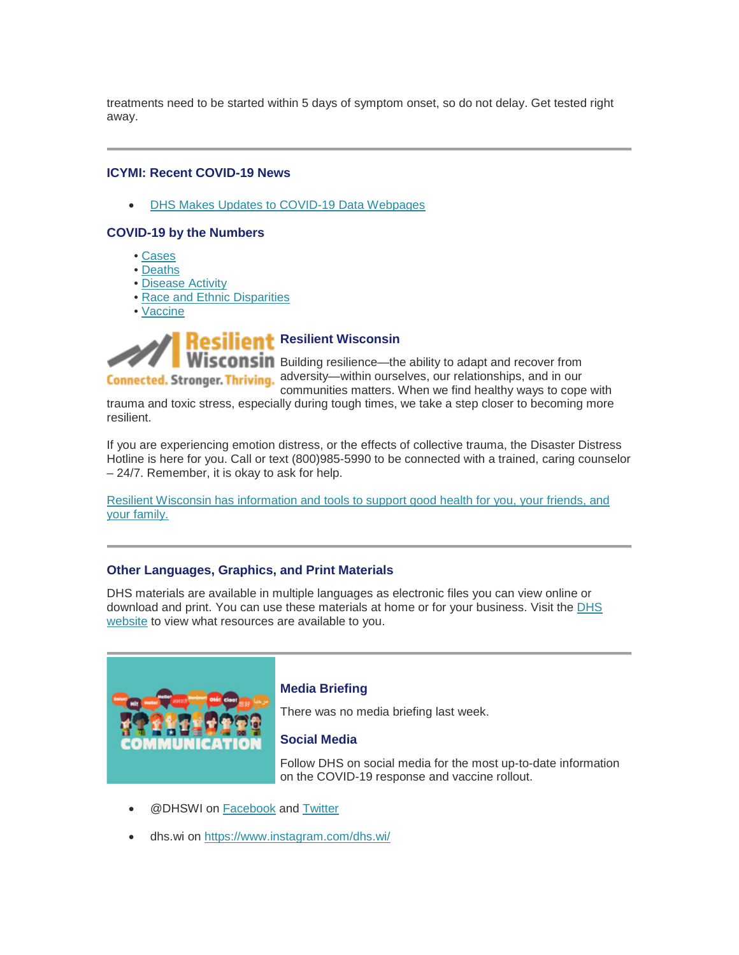treatments need to be started within 5 days of symptom onset, so do not delay. Get tested right away.

#### **ICYMI: Recent COVID-19 News**

• [DHS Makes Updates to COVID-19 Data Webpages](https://lnks.gd/l/eyJhbGciOiJIUzI1NiJ9.eyJidWxsZXRpbl9saW5rX2lkIjoxMTgsInVyaSI6ImJwMjpjbGljayIsImJ1bGxldGluX2lkIjoiMjAyMjA0MjYuNTY5OTU3MzEiLCJ1cmwiOiJodHRwczovL3d3dy5kaHMud2lzY29uc2luLmdvdi9uZXdzL3JlbGVhc2VzLzA0MTQyMi5odG0ifQ.Ba3F03ovwX0cqfRCKxUwOwCNM_vKAgaQ1Yem9FoZjJk/s/1421858714/br/130361401036-l)

#### **COVID-19 by the Numbers**

- • [Cases](https://lnks.gd/l/eyJhbGciOiJIUzI1NiJ9.eyJidWxsZXRpbl9saW5rX2lkIjoxMTksInVyaSI6ImJwMjpjbGljayIsImJ1bGxldGluX2lkIjoiMjAyMjA0MjYuNTY5OTU3MzEiLCJ1cmwiOiJodHRwczovL3d3dy5kaHMud2lzY29uc2luLmdvdi9jb3ZpZC0xOS9jYXNlcy5odG0ifQ.P9-KaHgb8ng6PccjtQsfTC0AkB1xR0jO-p9HqRipnQY/s/1421858714/br/130361401036-l)
- • [Deaths](https://lnks.gd/l/eyJhbGciOiJIUzI1NiJ9.eyJidWxsZXRpbl9saW5rX2lkIjoxMjAsInVyaSI6ImJwMjpjbGljayIsImJ1bGxldGluX2lkIjoiMjAyMjA0MjYuNTY5OTU3MzEiLCJ1cmwiOiJodHRwczovL3d3dy5kaHMud2lzY29uc2luLmdvdi9jb3ZpZC0xOS9kZWF0aHMuaHRtIn0.umbOctauSQWXItRc5-0x_Bp-1_J3_Zx3opXw_H98ZA8/s/1421858714/br/130361401036-l)
- • [Disease Activity](https://lnks.gd/l/eyJhbGciOiJIUzI1NiJ9.eyJidWxsZXRpbl9saW5rX2lkIjoxMjEsInVyaSI6ImJwMjpjbGljayIsImJ1bGxldGluX2lkIjoiMjAyMjA0MjYuNTY5OTU3MzEiLCJ1cmwiOiJodHRwczovL3d3dy5kaHMud2lzY29uc2luLmdvdi9jb3ZpZC0xOS9sb2NhbC5odG0ifQ.w1Ymbcs4neoUkvMEwiGjQaD6nTr8zS8ZnHI2wp5s25A/s/1421858714/br/130361401036-l)
- • [Race and Ethnic Disparities](https://lnks.gd/l/eyJhbGciOiJIUzI1NiJ9.eyJidWxsZXRpbl9saW5rX2lkIjoxMjIsInVyaSI6ImJwMjpjbGljayIsImJ1bGxldGluX2lkIjoiMjAyMjA0MjYuNTY5OTU3MzEiLCJ1cmwiOiJodHRwczovL3d3dy5kaHMud2lzY29uc2luLmdvdi9jb3ZpZC0xOS9kaXNwYXJpdGllcy5odG0ifQ.7FIyJbttbsRXI9yPcjHiE3vaWugfGQWInpcGWtzPHCI/s/1421858714/br/130361401036-l)
- • [Vaccine](https://lnks.gd/l/eyJhbGciOiJIUzI1NiJ9.eyJidWxsZXRpbl9saW5rX2lkIjoxMjMsInVyaSI6ImJwMjpjbGljayIsImJ1bGxldGluX2lkIjoiMjAyMjA0MjYuNTY5OTU3MzEiLCJ1cmwiOiJodHRwczovL3d3dy5kaHMud2lzY29uc2luLmdvdi9jb3ZpZC0xOS92YWNjaW5lLWRhdGEuaHRtIn0.qKp5K9Yfc9sKWrnFCRXalkFaeWittQyDfdM3OfE1RHA/s/1421858714/br/130361401036-l)



**Wisconsin** Building resilience—the ability to adapt and recover from Connected. Stronger. Thriving. adversity—within ourselves, our relationships, and in our

communities matters. When we find healthy ways to cope with trauma and toxic stress, especially during tough times, we take a step closer to becoming more resilient.

If you are experiencing emotion distress, or the effects of collective trauma, the Disaster Distress Hotline is here for you. Call or text (800)985-5990 to be connected with a trained, caring counselor – 24/7. Remember, it is okay to ask for help.

[Resilient Wisconsin has information and tools to support good health for you, your friends, and](https://lnks.gd/l/eyJhbGciOiJIUzI1NiJ9.eyJidWxsZXRpbl9saW5rX2lkIjoxMjQsInVyaSI6ImJwMjpjbGljayIsImJ1bGxldGluX2lkIjoiMjAyMjA0MjYuNTY5OTU3MzEiLCJ1cmwiOiJodHRwczovL3d3dy5kaHMud2lzY29uc2luLmdvdi9yZXNpbGllbnQvaW5kZXguaHRtIn0.21MWHP4L-qvMvg-mcrU8G9CqQO9tBYFjuSDxO-fhmZI/s/1421858714/br/130361401036-l)  [your family.](https://lnks.gd/l/eyJhbGciOiJIUzI1NiJ9.eyJidWxsZXRpbl9saW5rX2lkIjoxMjQsInVyaSI6ImJwMjpjbGljayIsImJ1bGxldGluX2lkIjoiMjAyMjA0MjYuNTY5OTU3MzEiLCJ1cmwiOiJodHRwczovL3d3dy5kaHMud2lzY29uc2luLmdvdi9yZXNpbGllbnQvaW5kZXguaHRtIn0.21MWHP4L-qvMvg-mcrU8G9CqQO9tBYFjuSDxO-fhmZI/s/1421858714/br/130361401036-l)

#### **Other Languages, Graphics, and Print Materials**

DHS materials are available in multiple languages as electronic files you can view online or download and print. You can use these materials at home or for your business. Visit the [DHS](https://lnks.gd/l/eyJhbGciOiJIUzI1NiJ9.eyJidWxsZXRpbl9saW5rX2lkIjoxMjUsInVyaSI6ImJwMjpjbGljayIsImJ1bGxldGluX2lkIjoiMjAyMjA0MjYuNTY5OTU3MzEiLCJ1cmwiOiJodHRwczovL3d3dy5kaHMud2lzY29uc2luLmdvdi9jb3ZpZC0xOS9yZXNvdXJjZXMuaHRtIn0.MjQB8IawcEAi_ugFnmh01-MIm9NvVpqEyDWDR-OmibM/s/1421858714/br/130361401036-l)  [website](https://lnks.gd/l/eyJhbGciOiJIUzI1NiJ9.eyJidWxsZXRpbl9saW5rX2lkIjoxMjUsInVyaSI6ImJwMjpjbGljayIsImJ1bGxldGluX2lkIjoiMjAyMjA0MjYuNTY5OTU3MzEiLCJ1cmwiOiJodHRwczovL3d3dy5kaHMud2lzY29uc2luLmdvdi9jb3ZpZC0xOS9yZXNvdXJjZXMuaHRtIn0.MjQB8IawcEAi_ugFnmh01-MIm9NvVpqEyDWDR-OmibM/s/1421858714/br/130361401036-l) to view what resources are available to you.



#### **Media Briefing**

There was no media briefing last week.

#### **Social Media**

Follow DHS on social media for the most up-to-date information on the COVID-19 response and vaccine rollout.

- @DHSWI on [Facebook](https://lnks.gd/l/eyJhbGciOiJIUzI1NiJ9.eyJidWxsZXRpbl9saW5rX2lkIjoxMjYsInVyaSI6ImJwMjpjbGljayIsImJ1bGxldGluX2lkIjoiMjAyMjA0MjYuNTY5OTU3MzEiLCJ1cmwiOiJodHRwczovL3d3dy5mYWNlYm9vay5jb20vREhTV0kvIn0._aq7FIYSyybqfessZ5w2_m14bwnT-CI0dGIpax_YqMM/s/1421858714/br/130361401036-l) and [Twitter](https://lnks.gd/l/eyJhbGciOiJIUzI1NiJ9.eyJidWxsZXRpbl9saW5rX2lkIjoxMjcsInVyaSI6ImJwMjpjbGljayIsImJ1bGxldGluX2lkIjoiMjAyMjA0MjYuNTY5OTU3MzEiLCJ1cmwiOiJodHRwczovL3R3aXR0ZXIuY29tL0RIU1dJIn0.mC8UybI-FBDCWj5Bqd4oRAdKJGB9sTiCRkVRHqOHWtc/s/1421858714/br/130361401036-l)
- dhs.wi on [https://www.instagram.com/dhs.wi/](https://lnks.gd/l/eyJhbGciOiJIUzI1NiJ9.eyJidWxsZXRpbl9saW5rX2lkIjoxMjgsInVyaSI6ImJwMjpjbGljayIsImJ1bGxldGluX2lkIjoiMjAyMjA0MjYuNTY5OTU3MzEiLCJ1cmwiOiJodHRwczovL3d3dy5pbnN0YWdyYW0uY29tL2Rocy53aS8ifQ.maDBn4lT1TlEoPRTjXov5ZyMoEc8bqfaFGaHVbZk-8s/s/1421858714/br/130361401036-l)